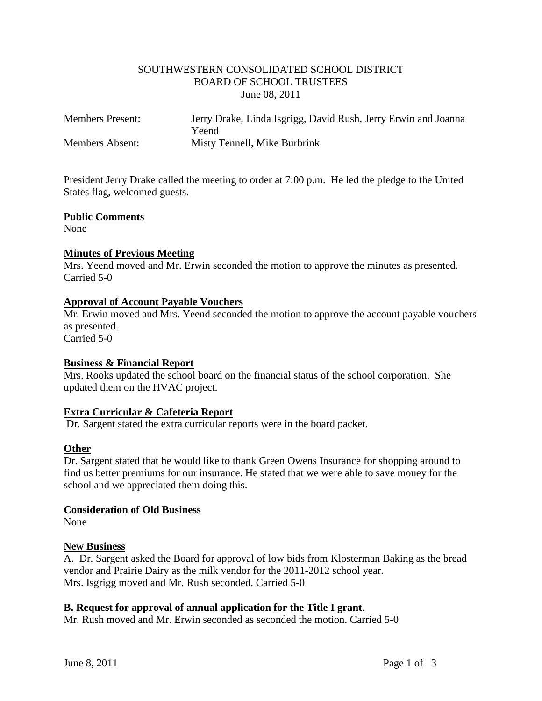# SOUTHWESTERN CONSOLIDATED SCHOOL DISTRICT BOARD OF SCHOOL TRUSTEES June 08, 2011

| <b>Members Present:</b> | Jerry Drake, Linda Isgrigg, David Rush, Jerry Erwin and Joanna |
|-------------------------|----------------------------------------------------------------|
|                         | Yeend                                                          |
| <b>Members Absent:</b>  | Misty Tennell, Mike Burbrink                                   |

President Jerry Drake called the meeting to order at 7:00 p.m. He led the pledge to the United States flag, welcomed guests.

### **Public Comments**

None

# **Minutes of Previous Meeting**

Mrs. Yeend moved and Mr. Erwin seconded the motion to approve the minutes as presented. Carried 5-0

# **Approval of Account Payable Vouchers**

Mr. Erwin moved and Mrs. Yeend seconded the motion to approve the account payable vouchers as presented.

Carried 5-0

# **Business & Financial Report**

Mrs. Rooks updated the school board on the financial status of the school corporation. She updated them on the HVAC project.

# **Extra Curricular & Cafeteria Report**

Dr. Sargent stated the extra curricular reports were in the board packet.

# **Other**

Dr. Sargent stated that he would like to thank Green Owens Insurance for shopping around to find us better premiums for our insurance. He stated that we were able to save money for the school and we appreciated them doing this.

#### **Consideration of Old Business**

None

#### **New Business**

A. Dr. Sargent asked the Board for approval of low bids from Klosterman Baking as the bread vendor and Prairie Dairy as the milk vendor for the 2011-2012 school year. Mrs. Isgrigg moved and Mr. Rush seconded. Carried 5-0

# **B. Request for approval of annual application for the Title I grant**.

Mr. Rush moved and Mr. Erwin seconded as seconded the motion. Carried 5-0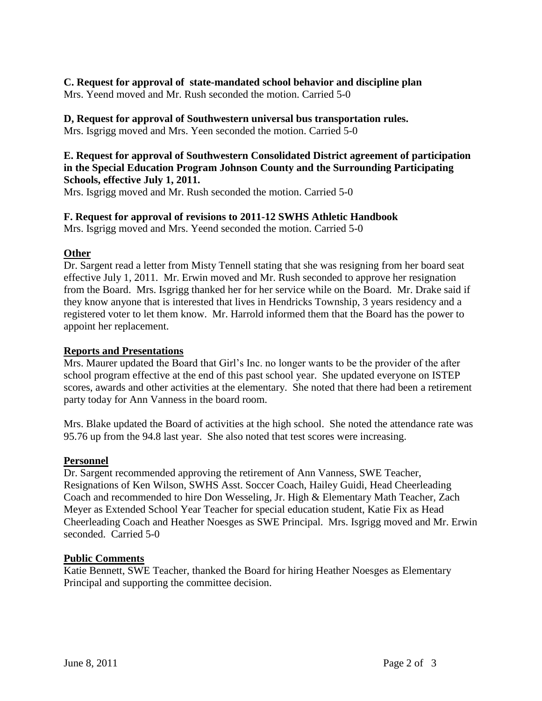# **C. Request for approval of state-mandated school behavior and discipline plan**

Mrs. Yeend moved and Mr. Rush seconded the motion. Carried 5-0

# **D, Request for approval of Southwestern universal bus transportation rules.**

Mrs. Isgrigg moved and Mrs. Yeen seconded the motion. Carried 5-0

# **E. Request for approval of Southwestern Consolidated District agreement of participation in the Special Education Program Johnson County and the Surrounding Participating Schools, effective July 1, 2011.**

Mrs. Isgrigg moved and Mr. Rush seconded the motion. Carried 5-0

# **F. Request for approval of revisions to 2011-12 SWHS Athletic Handbook**

Mrs. Isgrigg moved and Mrs. Yeend seconded the motion. Carried 5-0

# **Other**

Dr. Sargent read a letter from Misty Tennell stating that she was resigning from her board seat effective July 1, 2011. Mr. Erwin moved and Mr. Rush seconded to approve her resignation from the Board. Mrs. Isgrigg thanked her for her service while on the Board. Mr. Drake said if they know anyone that is interested that lives in Hendricks Township, 3 years residency and a registered voter to let them know. Mr. Harrold informed them that the Board has the power to appoint her replacement.

# **Reports and Presentations**

Mrs. Maurer updated the Board that Girl's Inc. no longer wants to be the provider of the after school program effective at the end of this past school year. She updated everyone on ISTEP scores, awards and other activities at the elementary. She noted that there had been a retirement party today for Ann Vanness in the board room.

Mrs. Blake updated the Board of activities at the high school. She noted the attendance rate was 95.76 up from the 94.8 last year. She also noted that test scores were increasing.

# **Personnel**

Dr. Sargent recommended approving the retirement of Ann Vanness, SWE Teacher, Resignations of Ken Wilson, SWHS Asst. Soccer Coach, Hailey Guidi, Head Cheerleading Coach and recommended to hire Don Wesseling, Jr. High & Elementary Math Teacher, Zach Meyer as Extended School Year Teacher for special education student, Katie Fix as Head Cheerleading Coach and Heather Noesges as SWE Principal. Mrs. Isgrigg moved and Mr. Erwin seconded. Carried 5-0

# **Public Comments**

Katie Bennett, SWE Teacher, thanked the Board for hiring Heather Noesges as Elementary Principal and supporting the committee decision.